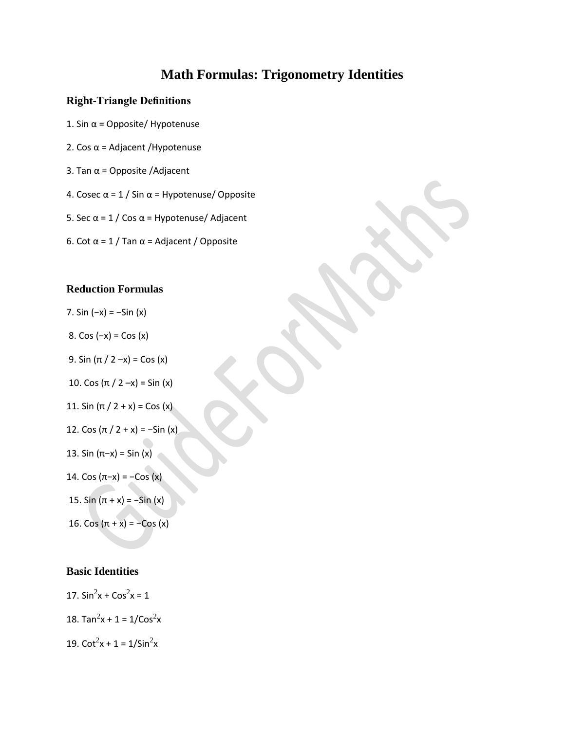# **Math Formulas: Trigonometry Identities**

#### **Right-Triangle Definitions**

- 1. Sin  $\alpha$  = Opposite/ Hypotenuse
- 2. Cos  $\alpha$  = Adjacent /Hypotenuse
- 3. Tan  $\alpha$  = Opposite /Adjacent
- 4. Cosec  $\alpha$  = 1 / Sin  $\alpha$  = Hypotenuse/ Opposite
- 5. Sec  $\alpha$  = 1 / Cos  $\alpha$  = Hypotenuse/ Adjacent
- 6. Cot α = 1 / Tan α = Adjacent / Opposite

#### **Reduction Formulas**

- 7. Sin (−x) = −Sin (x)
- 8. Cos (−x) = Cos (x)
- 9. Sin  $(π / 2 -x) = Cos (x)$
- 10. Cos  $(π / 2 -x) = Sin (x)$
- 11. Sin  $(π / 2 + x) = Cos (x)$
- 12. Cos  $(π / 2 + x) = -Sin (x)$
- 13. Sin (π−x) = Sin (x)
- 14. Cos (π−x) = −Cos (x)
- 15. Sin  $(π + x) = -Sin (x)$
- 16. Cos  $(\pi + x) = -\cos(x)$

#### **Basic Identities**

- 17.  $\sin^2 x + \cos^2 x = 1$
- 18. Tan<sup>2</sup>x + 1 =  $1/Cos<sup>2</sup>x$
- 19.  $\cot^2 x + 1 = 1/\sin^2 x$